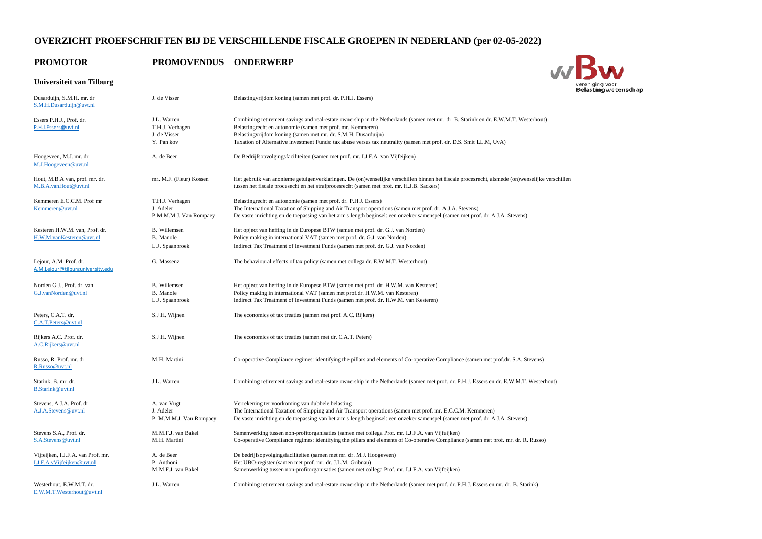# **OVERZICHT PROEFSCHRIFTEN BIJ DE VERSCHILLENDE FISCALE GROEPEN IN NEDERLAND (per 02-05-2022)**

## **PROMOTOR PROMOVENDUS ONDERWERP**

## **Universiteit van Tilburg**

| Dusarduijn, S.M.H. mr. dr<br>S.M.H.Dusarduijn@uvt.nl             | J. de Visser                                                 | Belasting vrijdom koning (samen met prof. dr. P.H.J. Essers)                                                                                                                                                                                                                                                                                                                              |
|------------------------------------------------------------------|--------------------------------------------------------------|-------------------------------------------------------------------------------------------------------------------------------------------------------------------------------------------------------------------------------------------------------------------------------------------------------------------------------------------------------------------------------------------|
| Essers P.H.J., Prof. dr.<br>P.H.J.Essers@uvt.nl                  | J.L. Warren<br>T.H.J. Verhagen<br>J. de Visser<br>Y. Pan kov | Combining retirement savings and real-estate ownership in the Netherlands (samen met mr. dr. B. Starink en dr. E.W.M.T. Westerhout)<br>Belastingrecht en autonomie (samen met prof. mr. Kemmeren)<br>Belastingvrijdom koning (samen met mr. dr. S.M.H. Dusarduijn)<br>Taxation of Alternative investment Funds: tax abuse versus tax neutrality (samen met prof. dr. D.S. Smit LL.M, UvA) |
| Hoogeveen, M.J. mr. dr.<br>M.J.Hoogeveen@uvt.nl                  | A. de Beer                                                   | De Bedrijfsopvolgingsfaciliteiten (samen met prof. mr. I.J.F.A. van Vijfeijken)                                                                                                                                                                                                                                                                                                           |
| Hout, M.B.A van, prof. mr. dr.<br>M.B.A.vanHout@uvt.nl           | mr. M.F. (Fleur) Kossen                                      | Het gebruik van anonieme getuigenverklaringen. De (on)wenselijke verschillen binnen het fiscale procesrecht, alsmede (on)wenselijke verschillen<br>tussen het fiscale procesecht en het strafprocesrecht (samen met prof. mr. H.J.B. Sackers)                                                                                                                                             |
| Kemmeren E.C.C.M. Prof mr<br>Kemmeren@uvt.nl                     | T.H.J. Verhagen<br>J. Adeler<br>P.M.M.M.J. Van Rompaey       | Belastingrecht en autonomie (samen met prof. dr. P.H.J. Essers)<br>The International Taxation of Shipping and Air Transport operations (samen met prof. dr. A.J.A. Stevens)<br>De vaste inrichting en de toepassing van het arm's length beginsel: een onzeker samenspel (samen met prof. dr. A.J.A. Stevens)                                                                             |
| Kesteren H.W.M. van, Prof. dr.<br>H.W.M.vanKesteren@uvt.nl       | <b>B.</b> Willemsen<br>B. Manole<br>L.J. Spaanbroek          | Het opject van heffing in de Europese BTW (samen met prof. dr. G.J. van Norden)<br>Policy making in international VAT (samen met prof. dr. G.J. van Norden)<br>Indirect Tax Treatment of Investment Funds (samen met prof. dr. G.J. van Norden)                                                                                                                                           |
| Lejour, A.M. Prof. dr.<br>A.M.Lejour@tilburguniversity.edu       | G. Massenz                                                   | The behavioural effects of tax policy (samen met collega dr. E.W.M.T. Westerhout)                                                                                                                                                                                                                                                                                                         |
| Norden G.J., Prof. dr. van<br>G.J.vanNorden@uvt.nl               | <b>B.</b> Willemsen<br><b>B.</b> Manole<br>L.J. Spaanbroek   | Het opject van heffing in de Europese BTW (samen met prof. dr. H.W.M. van Kesteren)<br>Policy making in international VAT (samen met prof.dr. H.W.M. van Kesteren)<br>Indirect Tax Treatment of Investment Funds (samen met prof. dr. H.W.M. van Kesteren)                                                                                                                                |
| Peters, C.A.T. dr.<br>C.A.T.Peters@uvt.nl                        | S.J.H. Wijnen                                                | The economics of tax treaties (samen met prof. A.C. Rijkers)                                                                                                                                                                                                                                                                                                                              |
| Rijkers A.C. Prof. dr.<br>A.C.Rijkers@uvt.nl                     | S.J.H. Wijnen                                                | The economics of tax treaties (samen met dr. C.A.T. Peters)                                                                                                                                                                                                                                                                                                                               |
| Russo, R. Prof. mr. dr.<br>R.Russo@uvt.nl                        | M.H. Martini                                                 | Co-operative Compliance regimes: identifying the pillars and elements of Co-operative Compliance (samen met prof.dr. S.A. Stevens)                                                                                                                                                                                                                                                        |
| Starink, B. mr. dr.<br><b>B.Starink@uvt.nl</b>                   | J.L. Warren                                                  | Combining retirement savings and real-estate ownership in the Netherlands (samen met prof. dr. P.H.J. Essers en dr. E.W.M.T. Westerhout)                                                                                                                                                                                                                                                  |
| Stevens, A.J.A. Prof. dr.<br>A.J.A.Stevens@uvt.nl                | A. van Vugt<br>J. Adeler<br>P. M.M.M.J. Van Rompaey          | Verrekening ter voorkoming van dubbele belasting<br>The International Taxation of Shipping and Air Transport operations (samen met prof. mr. E.C.C.M. Kemmeren)<br>De vaste inrichting en de toepassing van het arm's length beginsel: een onzeker samenspel (samen met prof. dr. A.J.A. Stevens)                                                                                         |
| Stevens S.A., Prof. dr.<br>S.A.Stevens@uvt.nl                    | M.M.F.J. van Bakel<br>M.H. Martini                           | Samenwerking tussen non-profitorganisaties (samen met collega Prof. mr. I.J.F.A. van Vijfeijken)<br>Co-operative Compliance regimes: identifying the pillars and elements of Co-operative Compliance (samen met prof. mr. dr. R. Russo)                                                                                                                                                   |
| Vijfeijken, I.J.F.A. van Prof. mr.<br>I.J.F.A.vVijfeijken@uvt.nl | A. de Beer<br>P. Anthoni<br>M.M.F.J. van Bakel               | De bedrijfsopvolgingsfaciliteiten (samen met mr. dr. M.J. Hoogeveen)<br>Het UBO-register (samen met prof. mr. dr. J.L.M. Gribnau)<br>Samenwerking tussen non-profitorganisaties (samen met collega Prof. mr. I.J.F.A. van Vijfeijken)                                                                                                                                                     |
| Westerhout, E.W.M.T. dr.<br>E.W.M.T.Westerhout@uvt.nl            | J.L. Warren                                                  | Combining retirement savings and real-estate ownership in the Netherlands (samen met prof. dr. P.H.J. Essers en mr. dr. B. Starink)                                                                                                                                                                                                                                                       |

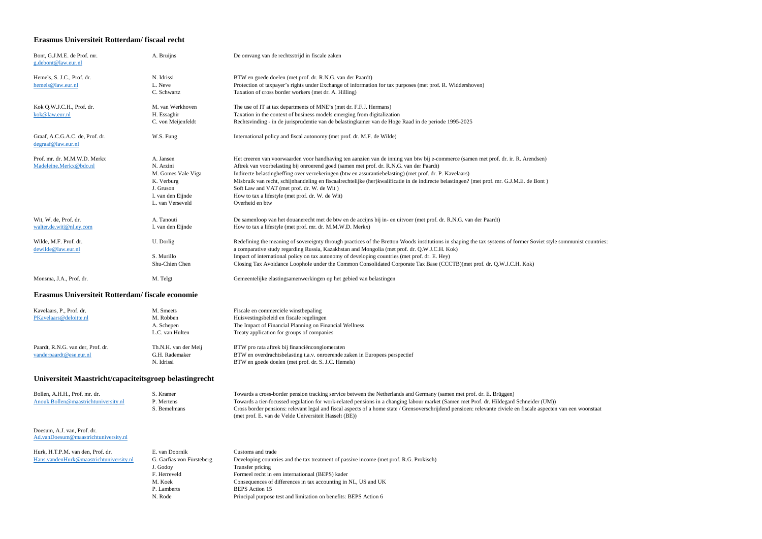#### **Erasmus Universiteit Rotterdam/ fiscaal recht**

| Bont, G.J.M.E. de Prof. mr.<br>g.debont@law.eur.nl    | A. Bruijns            | De omvang van de rechtsstrijd in fiscale zaken                                                                                                                          |
|-------------------------------------------------------|-----------------------|-------------------------------------------------------------------------------------------------------------------------------------------------------------------------|
| Hemels, S. J.C., Prof. dr.<br>hemels@law.eur.nl       | N. Idrissi<br>L. Neve | BTW en goede doelen (met prof. dr. R.N.G. van der Paardt)<br>Protection of taxpayer's rights under Exchange of information for tax purposes (met prof. R. Widdershoven) |
|                                                       | C. Schwartz           | Taxation of cross border workers (met dr. A. Hilling)                                                                                                                   |
| Kok Q.W.J.C.H., Prof. dr.                             | M. van Werkhoven      | The use of IT at tax departments of MNE's (met dr. F.F.J. Hermans)                                                                                                      |
| kok@law.eur.nl                                        | H. Essaghir           | Taxation in the context of business models emerging from digitalization                                                                                                 |
|                                                       | C. von Meijenfeldt    | Rechtsvinding - in de jurisprudentie van de belastingkamer van de Hoge Raad in de periode 1995-2025                                                                     |
| Graaf, A.C.G.A.C. de, Prof. dr.<br>degraaf@law.eur.nl | W.S. Fung             | International policy and fiscal autonomy (met prof. dr. M.F. de Wilde)                                                                                                  |
| Prof. mr. dr. M.M.W.D. Merkx                          | A. Jansen             | Het creeren van voorwaarden voor handhaving ten aanzien van de inning van btw bij e-commerce (samen met prof. dr. ir. R. Arendsen)                                      |
| Madeleine.Merkx@bdo.nl                                | N. Arzini             | Aftrek van voorbelasting bij onroerend goed (samen met prof. dr. R.N.G. van der Paardt)                                                                                 |
|                                                       | M. Gomes Vale Viga    | Indirecte belastingheffing over verzekeringen (btw en assurantiebelasting) (met prof. dr. P. Kavelaars)                                                                 |
|                                                       | K. Verburg            | Misbruik van recht, schijnhandeling en fiscaalrechtelijke (her)kwalificatie in de indirecte belastingen? (met prof. mr. G.J.M.E. de Bont)                               |
|                                                       | J. Gruson             | Soft Law and VAT (met prof. dr. W. de Wit)                                                                                                                              |
|                                                       | I. van den Eijnde     | How to tax a lifestyle (met prof. dr. W. de Wit)                                                                                                                        |
|                                                       | L. van Verseveld      | Overheid en btw                                                                                                                                                         |
| Wit, W. de, Prof. dr.                                 | A. Tanouti            | De samenloop van het douanerecht met de btw en de accijns bij in- en uitvoer (met prof. dr. R.N.G. van der Paardt)                                                      |
| walter.de.wit @nl.ey.com                              | I. van den Eijnde     | How to tax a lifestyle (met prof. mr. dr. M.M.W.D. Merkx)                                                                                                               |
| Wilde, M.F. Prof. dr.                                 | U. Dorlig             | Redefining the meaning of sovereignty through practices of the Bretton Woods institutions in shaping the tax systems of former Soviet style sommunist countries:        |
| dewilde@law.eur.nl                                    |                       | a comparative study regarding Russia, Kazakhstan and Mongolia (met prof. dr. Q.W.J.C.H. Kok)                                                                            |
|                                                       | S. Murillo            | Impact of international policy on tax autonomy of developing countries (met prof. dr. E. Hey)                                                                           |
|                                                       | Shu-Chien Chen        | Closing Tax Avoidance Loophole under the Common Consolidated Corporate Tax Base (CCCTB)(met prof. dr. Q.W.J.C.H. Kok)                                                   |
| Monsma, J.A., Prof. dr.                               | M. Telgt              | Gemeentelijke elastingsamenwerkingen op het gebied van belastingen                                                                                                      |
|                                                       |                       |                                                                                                                                                                         |

### **Erasmus Universiteit Rotterdam/ fiscale economie**

| Kavelaars, P., Prof. dr.<br>PKavelaars@deloitte.nl           | M. Smeets<br>M. Robben<br>A. Schepen<br>L.C. van Hulten | Fiscale en commerciële winstbepaling<br>Huisvestingsbeleid en fiscale regelingen<br>The Impact of Financial Planning on Financial Wellness<br>Treaty application for groups of companies |
|--------------------------------------------------------------|---------------------------------------------------------|------------------------------------------------------------------------------------------------------------------------------------------------------------------------------------------|
| Paardt, R.N.G. van der, Prof. dr.<br>vanderpaardt@ese.eur.nl | Th.N.H. van der Meij<br>G.H. Rademaker<br>N. Idrissi    | BTW pro rata aftrek bij financiën conglomeraten<br>BTW en overdrachtsbelasting t.a.v. onroerende zaken in Europees perspectief<br>BTW en goede doelen (met prof. dr. S. J.C. Hemels)     |

### **Universiteit Maastricht/capaciteitsgroep belastingrecht**

| Bollen, A.H.H., Prof. mr. dr.        | ، Kramer     | Towards a cross-border pension tracking service between the Netherlands and Germany (samen met prof. dr. E. Brüggen)                                             |
|--------------------------------------|--------------|------------------------------------------------------------------------------------------------------------------------------------------------------------------|
| Anouk.Bollen@maastrichtuniversity.nl | P. Mertens   | Towards a tier-focussed regulation for work-related pensions in a changing labour market (Samen met Prof. dr. Hildegard Schneider (UM))                          |
|                                      | S. Bemelmans | Cross border pensions: relevant legal and fiscal aspects of a home state / Grensoverschrijdend pensioen: relevante civiele en fiscale aspecten van een woonstaat |
|                                      |              | (met prof. E. van de Velde Universiteit Hasselt (BE))                                                                                                            |

Doesum, A.J. van, Prof. dr. [Ad.vanDoesum@maastrichtuniversity.nl](mailto:Ad.vanDoesum@maastrichtuniversity.nl)

| Hurk, H.T.P.M. van den, Prof. dr.       | E. van Doornik            | Customs and trade                                                                      |
|-----------------------------------------|---------------------------|----------------------------------------------------------------------------------------|
| Hans.vandenHurk@maastrichtuniversity.nl | G. Garfias von Fürsteberg | Developing countries and the tax treatment of passive income (met prof. R.G. Prokisch) |
|                                         | J. Godov                  | Transfer pricing                                                                       |
|                                         | F. Herreveld              | Formeel recht in een internationaal (BEPS) kader                                       |
|                                         | M. Koek                   | Consequences of differences in tax accounting in NL, US and UK                         |
|                                         | P. Lamberts               | <b>BEPS</b> Action 15                                                                  |
|                                         | N. Rode                   | Principal purpose test and limitation on benefits: BEPS Action 6                       |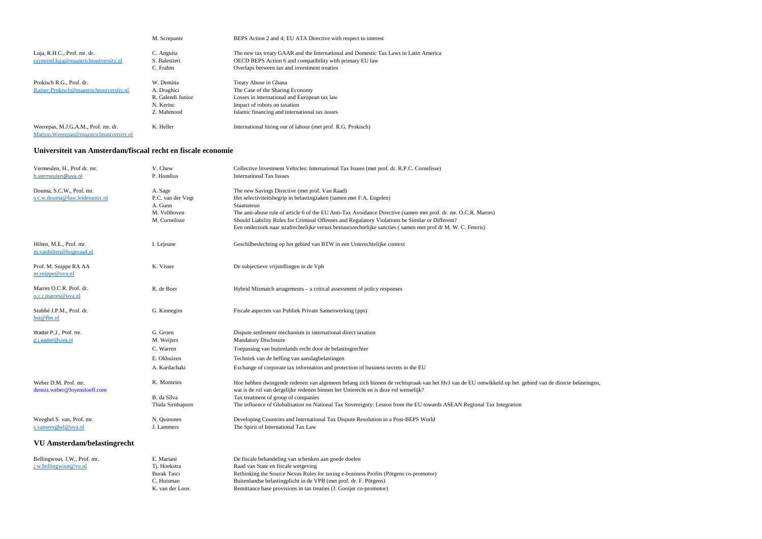|                                                                                 | M. Screpante      | BEPS Action 2 and 4; EU ATA Directive with respect to interest                       |
|---------------------------------------------------------------------------------|-------------------|--------------------------------------------------------------------------------------|
| Luja, R.H.C., Prof. mr. dr.                                                     | C. Anguita        | The new tax treaty GAAR and the International and Domestic Tax Laws in Latin America |
| raymond.luja@maastrichtuniversity.nl                                            | S. Balestieri     | <b>OECD BEPS</b> Action 6 and compatibility with primary EU law                      |
|                                                                                 | C. Frahm          | Overlaps between tax and investment treaties                                         |
| Prokisch R.G., Prof. dr.                                                        | W. Demitia        | Treaty Abuse in Ghana                                                                |
| Rainer.Prokisch@maastrichtuniversity.nl                                         | A. Draghici       | The Case of the Sharing Economy                                                      |
|                                                                                 | R. Galendi Junior | Losses in international and European tax law                                         |
|                                                                                 | N. Kerinc         | Impact of robots on taxation                                                         |
|                                                                                 | Z. Mahmood        | Islamic financing and international tax issues                                       |
| Weerepas, M.J.G.A.M., Prof. mr. dr.<br>Marjon. Weerepas@maastrichtuniversity.nl | K. Heller         | International hiring out of labour (met prof. R.G. Prokisch)                         |

#### **Universiteit van Amsterdam/fiscaal recht en fiscale economie**

C. Huisman Buitenlandse belastingplicht in de VPB (met prof. dr. F. Pötgens) K. van der Loos Remittance base provisions in tax treaties (J. Gooijer co-promotor)

| Vermeulen, H., Prof dr. mr.<br>h.vermeulen@uva.nl         | V. Chew<br>P. Hondius                                                    | Collective Investment Vehicles: International Tax Issues (met prof. dr. R.P.C. Cornelisse)<br><b>International Tax Issues</b>                                                                                                                                                                                                                                                                                                                                              |
|-----------------------------------------------------------|--------------------------------------------------------------------------|----------------------------------------------------------------------------------------------------------------------------------------------------------------------------------------------------------------------------------------------------------------------------------------------------------------------------------------------------------------------------------------------------------------------------------------------------------------------------|
| Douma, S.C.W., Prof. mr.<br>s.c.w.douma@law.leidenuniv.nl | A. Sage<br>P.C. van der Vegt<br>A. Gunn<br>M. Velthoven<br>M. Cornelisse | The new Savings Directive (met prof. Van Raad)<br>Het selectiviteitsbegrip in belastingzaken (samen met F.A. Engelen)<br>Staatssteun<br>The anti-abuse rule of article 6 of the EU Anti-Tax Avoidance Directive (samen met prof. dr. mr. O.C.R. Marres)<br>Should Liability Rules for Criminal Offenses and Regulatory Violations be Similar or Different?<br>Een onderzoek naar strafrechtelijke versus bestuursrechtelijke sancties (samen met prof dr M. W. C. Feteris) |
| Hilten, M.E., Prof. mr.<br>m.vanhilten@hogeraad.nl        | I. Lejeune                                                               | Geschilbeslechting op het gebied van BTW in een Unierechtelijke context                                                                                                                                                                                                                                                                                                                                                                                                    |
| Prof. M. Snippe RA AA<br>m.snippe@uva.nl                  | K. Visser                                                                | De subjectieve vrijstellingen in de Vpb                                                                                                                                                                                                                                                                                                                                                                                                                                    |
| Marres O.C.R. Prof. dr.<br>o.c.r.marres@uva.nl            | R. de Boer                                                               | Hybrid Mismatch arragements - a critical assessment of policy responses                                                                                                                                                                                                                                                                                                                                                                                                    |
| Stubbé J.P.M., Prof. dr.<br>hst@fbn.nl                    | G. Kinnegim                                                              | Fiscale aspecten van Publiek Private Samenwerking (pps)                                                                                                                                                                                                                                                                                                                                                                                                                    |
| Wattel P.J., Prof. mr.<br>p.j.wattel@uva.nl               | G. Groen<br>M. Weijers                                                   | Dispute settlement mechanism in international direct taxation<br><b>Mandatory Disclosure</b>                                                                                                                                                                                                                                                                                                                                                                               |
|                                                           | C. Warren                                                                | Toepassing van buitenlands recht door de belastingrechter                                                                                                                                                                                                                                                                                                                                                                                                                  |
|                                                           | E. Okhuizen                                                              | Techniek van de heffing van aanslagbelastingen                                                                                                                                                                                                                                                                                                                                                                                                                             |
|                                                           | A. Kardachaki                                                            | Exchange of corporate tax information and protection of business secrets in the EU                                                                                                                                                                                                                                                                                                                                                                                         |
| Weber D.M. Prof. mr.<br>dennis.weber@loyensloeff.com      | R. Monteiro                                                              | Hoe hebben dwingende redenen van algemeen belang zich binnen de rechtspraak van het HvJ van de EU ontwikkeld op het gebied van de directe belastingen,<br>wat is de rol van dergelijke redenen binnen het Unierecht en is deze rol wenselijk?                                                                                                                                                                                                                              |
|                                                           | B. da Silva                                                              | Tax treatment of group of companies                                                                                                                                                                                                                                                                                                                                                                                                                                        |
|                                                           | Thida Sirithaporn                                                        | The influence of Globalisation on National Tax Sovereignty: Lesson from the EU towards ASEAN Regional Tax Integration                                                                                                                                                                                                                                                                                                                                                      |
| Weeghel S. van, Prof. mr.<br>s.vanweeghel@uva.nl          | N. Quinones<br>J. Lammers                                                | Developing Countries and International Tax Dispute Resolution in a Post-BEPS World<br>The Spirit of International Tax Law                                                                                                                                                                                                                                                                                                                                                  |
| VU Amsterdam/belastingrecht                               |                                                                          |                                                                                                                                                                                                                                                                                                                                                                                                                                                                            |
| Bellingwout, J.W., Prof. mr.                              | E. Mariani                                                               | De fiscale behandeling van schenken aan goede doelen                                                                                                                                                                                                                                                                                                                                                                                                                       |
| j.w.bellingwout@vu.nl                                     | Tj. Hoekstra                                                             | Raad van State en fiscale wetgeving                                                                                                                                                                                                                                                                                                                                                                                                                                        |
|                                                           |                                                                          |                                                                                                                                                                                                                                                                                                                                                                                                                                                                            |

| Burak Tasci<br>Rethinking the Source Nexus Rules for taxing e-business Profits (Pötgens co-promotor) |  |
|------------------------------------------------------------------------------------------------------|--|
|------------------------------------------------------------------------------------------------------|--|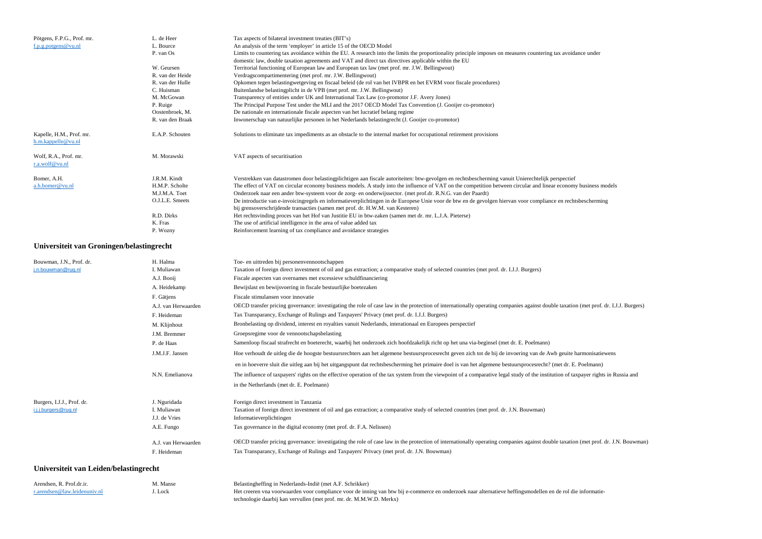| An analysis of the term 'employer' in article 15 of the OECD Model<br>L. Bource<br>f.p.g.potgens@vu.nl<br>P. van Os<br>Limits to countering tax avoidance within the EU. A research into the limits the proportionality principle imposes on measures countering tax avoidance under<br>domestic law, double taxation agreements and VAT and direct tax directives applicable within the EU<br>W. Geursen<br>Territorial functioning of European law and European tax law (met prof. mr. J.W. Bellingwout) |  |
|------------------------------------------------------------------------------------------------------------------------------------------------------------------------------------------------------------------------------------------------------------------------------------------------------------------------------------------------------------------------------------------------------------------------------------------------------------------------------------------------------------|--|
|                                                                                                                                                                                                                                                                                                                                                                                                                                                                                                            |  |
|                                                                                                                                                                                                                                                                                                                                                                                                                                                                                                            |  |
|                                                                                                                                                                                                                                                                                                                                                                                                                                                                                                            |  |
|                                                                                                                                                                                                                                                                                                                                                                                                                                                                                                            |  |
| R. van der Heide<br>Verdragscompartimentering (met prof. mr. J.W. Bellingwout)                                                                                                                                                                                                                                                                                                                                                                                                                             |  |
| Opkomen tegen belastingwetgeving en fiscaal beleid (de rol van het IVBPR en het EVRM voor fiscale procedures)<br>R. van der Hulle                                                                                                                                                                                                                                                                                                                                                                          |  |
| C. Huisman<br>Buitenlandse belasting plicht in de VPB (met prof. mr. J.W. Bellingwout)                                                                                                                                                                                                                                                                                                                                                                                                                     |  |
| M. McGowan<br>Transparency of entities under UK and International Tax Law (co-promotor J.F. Avery Jones)                                                                                                                                                                                                                                                                                                                                                                                                   |  |
| The Principal Purpose Test under the MLI and the 2017 OECD Model Tax Convention (J. Gooijer co-promotor)<br>P. Ruige                                                                                                                                                                                                                                                                                                                                                                                       |  |
| De nationale en internationale fiscale aspecten van het lucratief belang regime<br>Oostenbroek, M.                                                                                                                                                                                                                                                                                                                                                                                                         |  |
| Inwonerschap van natuurlijke personen in het Nederlands belastingrecht (J. Gooijer co-promotor)<br>R. van den Braak                                                                                                                                                                                                                                                                                                                                                                                        |  |
| Solutions to eliminate tax impediments as an obstacle to the internal market for occupational retirement provisions<br>Kapelle, H.M., Prof. mr.<br>E.A.P. Schouten<br>h.m.kappelle@vu.nl                                                                                                                                                                                                                                                                                                                   |  |
| Wolf, R.A., Prof. mr.<br>VAT aspects of securitisation<br>M. Morawski<br>r.a.wolf@vu.nl                                                                                                                                                                                                                                                                                                                                                                                                                    |  |
| J.R.M. Kindt<br>Verstrekken van datastromen door belastingplichtigen aan fiscale autoriteiten: btw-gevolgen en rechtsbescherming vanuit Unierechtelijk perspectief<br>Bomer, A.H.                                                                                                                                                                                                                                                                                                                          |  |
| H.M.P. Scholte<br>The effect of VAT on circular economy business models. A study into the influence of VAT on the competition between circular and linear economy business models<br>a.h.bomer@vu.nl                                                                                                                                                                                                                                                                                                       |  |
| Onderzoek naar een ander btw-systeem voor de zorg- en onderwijssector. (met prof.dr. R.N.G. van der Paardt)<br>M.J.M.A. Toet                                                                                                                                                                                                                                                                                                                                                                               |  |
| O.J.L.E. Smeets<br>De introductie van e-invoicingregels en informatieverplichtingen in de Europese Unie voor de btw en de gevolgen hiervan voor compliance en rechtsbescherming                                                                                                                                                                                                                                                                                                                            |  |
| bij grensoverschrijdende transacties (samen met prof. dr. H.W.M. van Kesteren)                                                                                                                                                                                                                                                                                                                                                                                                                             |  |
| R.D. Dirks<br>Het rechtsvinding proces van het Hof van Justitie EU in btw-zaken (samen met dr. mr. L.J.A. Pieterse)                                                                                                                                                                                                                                                                                                                                                                                        |  |
| The use of artificial intelligence in the area of value added tax<br>K. Fras                                                                                                                                                                                                                                                                                                                                                                                                                               |  |
| Reinforcement learning of tax compliance and avoidance strategies<br>P. Wozny                                                                                                                                                                                                                                                                                                                                                                                                                              |  |

### **Universiteit van Groningen/belastingrecht**

| Bouwman, J.N., Prof. dr.   | H. Halma            | Toe- en uittreden bij personenvennootschappen                                                                                                                              |
|----------------------------|---------------------|----------------------------------------------------------------------------------------------------------------------------------------------------------------------------|
| j.n.bouwman@rug.nl         | I. Muliawan         | Taxation of foreign direct investment of oil and gas extraction; a comparative study of selected countries (met prof. dr. I.J.J. Burgers)                                  |
|                            | A.J. Booij          | Fiscale aspecten van overnames met excessieve schuldfinanciering                                                                                                           |
|                            | A. Heidekamp        | Bewijslast en bewijsvoering in fiscale bestuurlijke boetezaken                                                                                                             |
|                            | F. Gätjens          | Fiscale stimulansen voor innovatie                                                                                                                                         |
|                            | A.J. van Herwaarden | OECD transfer pricing governance: investigating the role of case law in the protection of internationally operating companies against double taxation (met prof. dr. I.    |
|                            | F. Heideman         | Tax Transparancy, Exchange of Rulings and Taxpayers' Privacy (met prof. dr. I.J.J. Burgers)                                                                                |
|                            | M. Klijnhout        | Bronbelasting op dividend, interest en royalties vanuit Nederlands, interationaal en Europees perspectief                                                                  |
|                            | J.M. Bremmer        | Groepsregime voor de vennootschapsbelasting                                                                                                                                |
|                            | P. de Haas          | Samenloop fiscaal strafrecht en boeterecht, waarbij het onderzoek zich hoofdzakelijk richt op het una via-beginsel (met dr. E. Poelmann)                                   |
|                            | J.M.J.F. Jansen     | Hoe verhoudt de uitleg die de hoogste bestuursrechters aan het algemene bestuursprocesrecht geven zich tot de bij de invoering van de Awb geuite harmonisatiewens          |
|                            |                     | en in hoeverre sluit die uitleg aan bij het uitgangspunt dat rechtsbescherming het primaire doel is van het algemene bestuursprocesrecht? (met dr. E. Poelmann)            |
|                            | N.N. Emelianova     | The influence of taxpayers' rights on the effective operation of the tax system from the viewpoint of a comparative legal study of the institution of taxpayer rights in F |
|                            |                     | in the Netherlands (met dr. E. Poelmann)                                                                                                                                   |
| Burgers, I.J.J., Prof. dr. | J. Nguridada        | Foreign direct investment in Tanzania                                                                                                                                      |
| i.j.j.burgers@rug.nl       | I. Muliawan         | Taxation of foreign direct investment of oil and gas extraction; a comparative study of selected countries (met prof. dr. J.N. Bouwman)                                    |
|                            | J.J. de Vries       | Informatieverplichtingen                                                                                                                                                   |
|                            | A.E. Fungo          | Tax governance in the digital economy (met prof. dr. F.A. Nelissen)                                                                                                        |
|                            | A.J. van Herwaarden | OECD transfer pricing governance: investigating the role of case law in the protection of internationally operating companies against double taxation (met prof. dr. J.    |
|                            | F. Heideman         | Tax Transparancy, Exchange of Rulings and Taxpayers' Privacy (met prof. dr. J.N. Bouwman)                                                                                  |
|                            |                     |                                                                                                                                                                            |

### **Universiteit van Leiden/belastingrecht**

| Arendsen, R. Prof.dr.ir.            | M. Manse | Belastingheffing in Nederlands-Indië (met A.F. Schrikker)                                                                                                   |
|-------------------------------------|----------|-------------------------------------------------------------------------------------------------------------------------------------------------------------|
| $r_1$ arendsen @ law. leidenuniv.nl | . Lock   | Het creeren vna voorwaarden voor compliance voor de inning van btw bij e-commerce en onderzoek naar alternatieve heffingsmodellen en de rol die informatie- |
|                                     |          | technologie daarbij kan vervullen (met prof. mr. dr. M.M.W.D. Merkx)                                                                                        |

a. (met prof. dr. I.J.J. Burgers)

payer rights in Russia and

n (met prof. dr. J.N. Bouwman)